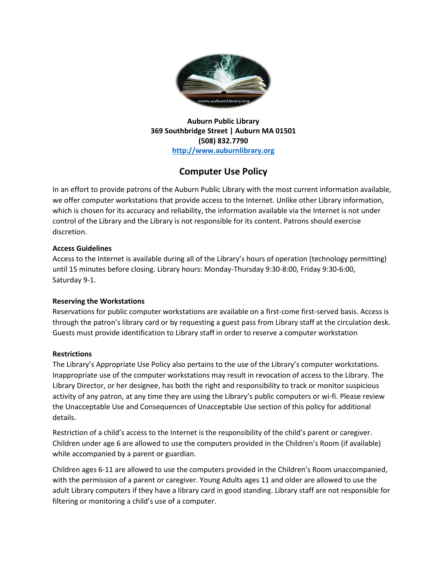

**Auburn Public Library 369 Southbridge Street | Auburn MA 01501 (508) 832.7790 [http://www.auburnlibrary.org](http://www.auburnlibrary.org/)**

# **Computer Use Policy**

In an effort to provide patrons of the Auburn Public Library with the most current information available, we offer computer workstations that provide access to the Internet. Unlike other Library information, which is chosen for its accuracy and reliability, the information available via the Internet is not under control of the Library and the Library is not responsible for its content. Patrons should exercise discretion.

## **Access Guidelines**

Access to the Internet is available during all of the Library's hours of operation (technology permitting) until 15 minutes before closing. Library hours: Monday-Thursday 9:30-8:00, Friday 9:30-6:00, Saturday 9-1.

## **Reserving the Workstations**

Reservations for public computer workstations are available on a first-come first-served basis. Access is through the patron's library card or by requesting a guest pass from Library staff at the circulation desk. Guests must provide identification to Library staff in order to reserve a computer workstation

## **Restrictions**

The Library's Appropriate Use Policy also pertains to the use of the Library's computer workstations. Inappropriate use of the computer workstations may result in revocation of access to the Library. The Library Director, or her designee, has both the right and responsibility to track or monitor suspicious activity of any patron, at any time they are using the Library's public computers or wi-fi. Please review the Unacceptable Use and Consequences of Unacceptable Use section of this policy for additional details.

Restriction of a child's access to the Internet is the responsibility of the child's parent or caregiver. Children under age 6 are allowed to use the computers provided in the Children's Room (if available) while accompanied by a parent or guardian.

Children ages 6-11 are allowed to use the computers provided in the Children's Room unaccompanied, with the permission of a parent or caregiver. Young Adults ages 11 and older are allowed to use the adult Library computers if they have a library card in good standing. Library staff are not responsible for filtering or monitoring a child's use of a computer.